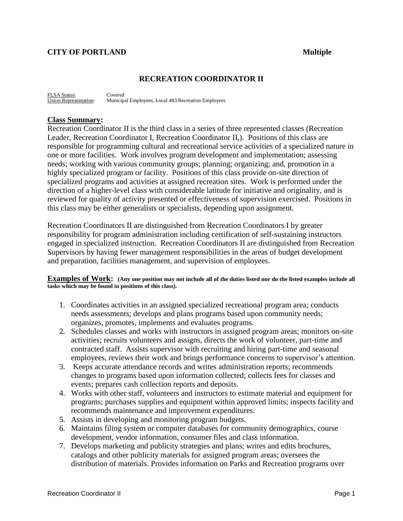### **RECREATION COORDINATOR II**

FLSA Status: Covered<br>Union Representation: Municip Municipal Employees, Local 483/Recreation Employees

### **Class Summary:**

Recreation Coordinator II is the third class in a series of three represented classes (Recreation Leader, Recreation Coordinator I, Recreation Coordinator II,). Positions of this class are responsible for programming cultural and recreational service activities of a specialized nature in one or more facilities. Work involves program development and implementation; assessing needs; working with various community groups; planning; organizing; and, promotion in a highly specialized program or facility. Positions of this class provide on-site direction of specialized programs and activities at assigned recreation sites. Work is performed under the direction of a higher-level class with considerable latitude for initiative and originality, and is reviewed for quality of activity presented or effectiveness of supervision exercised. Positions in this class may be either generalists or specialists, depending upon assignment.

Recreation Coordinators II are distinguished from Recreation Coordinators I by greater responsibility for program administration including certification of self-sustaining instructors engaged in specialized instruction. Recreation Coordinators II are distinguished from Recreation Supervisors by having fewer management responsibilities in the areas of budget development and preparation, facilities management, and supervision of employees.

### **Examples of Work: (Any one position may not include all of the duties listed nor do the listed examples include all tasks which may be found in positions of this class).**

- 1. Coordinates activities in an assigned specialized recreational program area; conducts needs assessments; develops and plans programs based upon community needs; organizes, promotes, implements and evaluates programs.
- 2. Schedules classes and works with instructors in assigned program areas; monitors on-site activities; recruits volunteers and assigns, directs the work of volunteer, part-time and contracted staff. Assists supervisor with recruiting and hiring part-time and seasonal employees, reviews their work and brings performance concerns to supervisor's attention.
- 3. Keeps accurate attendance records and writes administration reports; recommends changes to programs based upon information collected; collects fees for classes and events; prepares cash collection reports and deposits.
- 4. Works with other staff, volunteers and instructors to estimate material and equipment for programs; purchases supplies and equipment within approved limits; inspects facility and recommends maintenance and improvement expenditures.
- 5. Assists in developing and monitoring program budgets.
- 6. Maintains filing system or computer databases for community demographics, course development, vendor information, consumer files and class information.
- 7. Develops marketing and publicity strategies and plans; writes and edits brochures, catalogs and other publicity materials for assigned program areas; oversees the distribution of materials. Provides information on Parks and Recreation programs over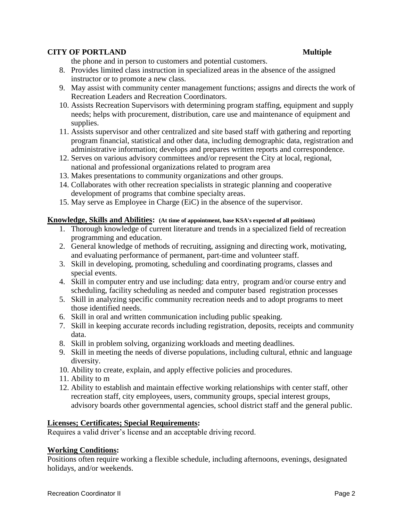the phone and in person to customers and potential customers.

- 8. Provides limited class instruction in specialized areas in the absence of the assigned instructor or to promote a new class.
- 9. May assist with community center management functions; assigns and directs the work of Recreation Leaders and Recreation Coordinators.
- 10. Assists Recreation Supervisors with determining program staffing, equipment and supply needs; helps with procurement, distribution, care use and maintenance of equipment and supplies.
- 11. Assists supervisor and other centralized and site based staff with gathering and reporting program financial, statistical and other data, including demographic data, registration and administrative information; develops and prepares written reports and correspondence.
- 12. Serves on various advisory committees and/or represent the City at local, regional, national and professional organizations related to program area
- 13. Makes presentations to community organizations and other groups.
- 14. Collaborates with other recreation specialists in strategic planning and cooperative development of programs that combine specialty areas.
- 15. May serve as Employee in Charge (EiC) in the absence of the supervisor.

### **Knowledge, Skills and Abilities: (At time of appointment, base KSA's expected of all positions)**

- 1. Thorough knowledge of current literature and trends in a specialized field of recreation programming and education.
- 2. General knowledge of methods of recruiting, assigning and directing work, motivating, and evaluating performance of permanent, part-time and volunteer staff.
- 3. Skill in developing, promoting, scheduling and coordinating programs, classes and special events.
- 4. Skill in computer entry and use including: data entry, program and/or course entry and scheduling, facility scheduling as needed and computer based registration processes
- 5. Skill in analyzing specific community recreation needs and to adopt programs to meet those identified needs.
- 6. Skill in oral and written communication including public speaking.
- 7. Skill in keeping accurate records including registration, deposits, receipts and community data.
- 8. Skill in problem solving, organizing workloads and meeting deadlines.
- 9. Skill in meeting the needs of diverse populations, including cultural, ethnic and language diversity.
- 10. Ability to create, explain, and apply effective policies and procedures.
- 11. Ability to m
- 12. Ability to establish and maintain effective working relationships with center staff, other recreation staff, city employees, users, community groups, special interest groups, advisory boards other governmental agencies, school district staff and the general public.

### **Licenses; Certificates; Special Requirements:**

Requires a valid driver's license and an acceptable driving record.

### **Working Conditions:**

Positions often require working a flexible schedule, including afternoons, evenings, designated holidays, and/or weekends.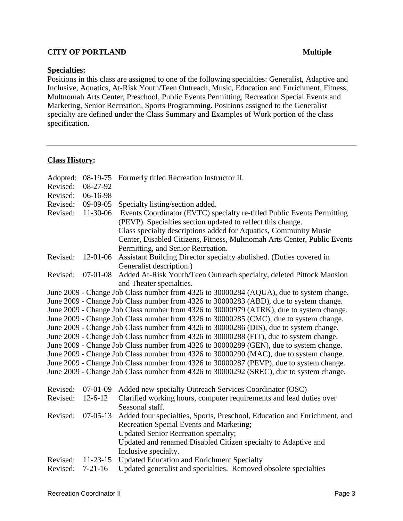### **Specialties:**

Positions in this class are assigned to one of the following specialties: Generalist, Adaptive and Inclusive, Aquatics, At-Risk Youth/Teen Outreach, Music, Education and Enrichment, Fitness, Multnomah Arts Center, Preschool, Public Events Permitting, Recreation Special Events and Marketing, Senior Recreation, Sports Programming. Positions assigned to the Generalist specialty are defined under the Class Summary and Examples of Work portion of the class specification.

### **Class History:**

| Adopted:<br>Revised:<br>Revised:                                                        | 08-19-75<br>08-27-92<br>06-16-98 | Formerly titled Recreation Instructor II.                                |
|-----------------------------------------------------------------------------------------|----------------------------------|--------------------------------------------------------------------------|
| Revised:                                                                                | $09-09-05$                       | Specialty listing/section added.                                         |
| Revised:                                                                                | 11-30-06                         | Events Coordinator (EVTC) specialty re-titled Public Events Permitting   |
|                                                                                         |                                  | (PEVP). Specialties section updated to reflect this change.              |
|                                                                                         |                                  | Class specialty descriptions added for Aquatics, Community Music         |
|                                                                                         |                                  | Center, Disabled Citizens, Fitness, Multnomah Arts Center, Public Events |
|                                                                                         |                                  | Permitting, and Senior Recreation.                                       |
| Revised:                                                                                | $12-01-06$                       | Assistant Building Director specialty abolished. (Duties covered in      |
|                                                                                         |                                  | Generalist description.)                                                 |
| Revised:                                                                                | $07-01-08$                       | Added At-Risk Youth/Teen Outreach specialty, deleted Pittock Mansion     |
|                                                                                         |                                  | and Theater specialties.                                                 |
| June 2009 - Change Job Class number from 4326 to 30000284 (AQUA), due to system change. |                                  |                                                                          |
| June 2009 - Change Job Class number from 4326 to 30000283 (ABD), due to system change.  |                                  |                                                                          |
| June 2009 - Change Job Class number from 4326 to 30000979 (ATRK), due to system change. |                                  |                                                                          |
| June 2009 - Change Job Class number from 4326 to 30000285 (CMC), due to system change.  |                                  |                                                                          |
| June 2009 - Change Job Class number from 4326 to 30000286 (DIS), due to system change.  |                                  |                                                                          |
| June 2009 - Change Job Class number from 4326 to 30000288 (FIT), due to system change.  |                                  |                                                                          |
| June 2009 - Change Job Class number from 4326 to 30000289 (GEN), due to system change.  |                                  |                                                                          |
| June 2009 - Change Job Class number from 4326 to 30000290 (MAC), due to system change.  |                                  |                                                                          |
| June 2009 - Change Job Class number from 4326 to 30000287 (PEVP), due to system change. |                                  |                                                                          |
| June 2009 - Change Job Class number from 4326 to 30000292 (SREC), due to system change. |                                  |                                                                          |
| Revised:                                                                                | $07-01-09$                       | Added new specialty Outreach Services Coordinator (OSC)                  |
| Revised:                                                                                | $12 - 6 - 12$                    | Clarified working hours, computer requirements and lead duties over      |
|                                                                                         |                                  | Seasonal staff.                                                          |
| Revised:                                                                                | $07 - 05 - 13$                   | Added four specialties, Sports, Preschool, Education and Enrichment, and |
|                                                                                         |                                  | Recreation Special Events and Marketing;                                 |
|                                                                                         |                                  | <b>Updated Senior Recreation specialty;</b>                              |
|                                                                                         |                                  | Updated and renamed Disabled Citizen specialty to Adaptive and           |
|                                                                                         |                                  | Inclusive specialty.                                                     |
| Revised:                                                                                | $11 - 23 - 15$                   | <b>Updated Education and Enrichment Specialty</b>                        |
| Revised:                                                                                | $7-21-16$                        | Updated generalist and specialties. Removed obsolete specialties         |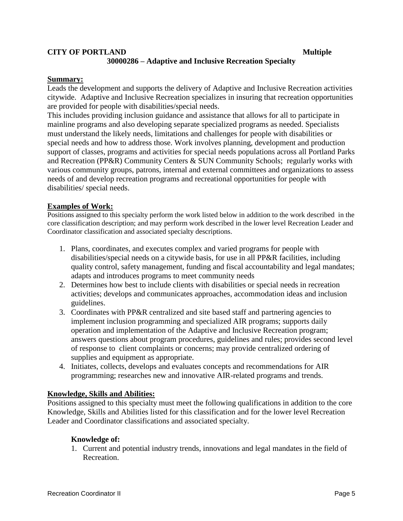### **CITY OF PORTLAND Multiple 30000286 – Adaptive and Inclusive Recreation Specialty**

### **Summary:**

Leads the development and supports the delivery of Adaptive and Inclusive Recreation activities citywide. Adaptive and Inclusive Recreation specializes in insuring that recreation opportunities are provided for people with disabilities/special needs.

This includes providing inclusion guidance and assistance that allows for all to participate in mainline programs and also developing separate specialized programs as needed. Specialists must understand the likely needs, limitations and challenges for people with disabilities or special needs and how to address those. Work involves planning, development and production support of classes, programs and activities for special needs populations across all Portland Parks and Recreation (PP&R) Community Centers & SUN Community Schools; regularly works with various community groups, patrons, internal and external committees and organizations to assess needs of and develop recreation programs and recreational opportunities for people with disabilities/ special needs.

### **Examples of Work:**

Positions assigned to this specialty perform the work listed below in addition to the work described in the core classification description; and may perform work described in the lower level Recreation Leader and Coordinator classification and associated specialty descriptions.

- 1. Plans, coordinates, and executes complex and varied programs for people with disabilities/special needs on a citywide basis, for use in all PP&R facilities, including quality control, safety management, funding and fiscal accountability and legal mandates; adapts and introduces programs to meet community needs
- 2. Determines how best to include clients with disabilities or special needs in recreation activities; develops and communicates approaches, accommodation ideas and inclusion guidelines.
- 3. Coordinates with PP&R centralized and site based staff and partnering agencies to implement inclusion programming and specialized AIR programs; supports daily operation and implementation of the Adaptive and Inclusive Recreation program; answers questions about program procedures, guidelines and rules; provides second level of response to client complaints or concerns; may provide centralized ordering of supplies and equipment as appropriate.
- 4. Initiates, collects, develops and evaluates concepts and recommendations for AIR programming; researches new and innovative AIR-related programs and trends.

### **Knowledge, Skills and Abilities:**

Positions assigned to this specialty must meet the following qualifications in addition to the core Knowledge, Skills and Abilities listed for this classification and for the lower level Recreation Leader and Coordinator classifications and associated specialty.

### **Knowledge of:**

1. Current and potential industry trends, innovations and legal mandates in the field of Recreation.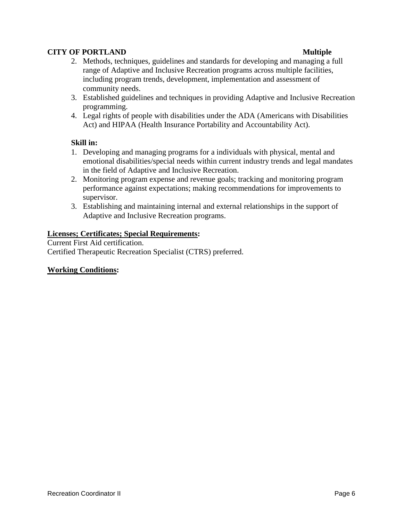- 2. Methods, techniques, guidelines and standards for developing and managing a full range of Adaptive and Inclusive Recreation programs across multiple facilities, including program trends, development, implementation and assessment of community needs.
- 3. Established guidelines and techniques in providing Adaptive and Inclusive Recreation programming.
- 4. Legal rights of people with disabilities under the ADA (Americans with Disabilities Act) and HIPAA (Health Insurance Portability and Accountability Act).

### **Skill in:**

- 1. Developing and managing programs for a individuals with physical, mental and emotional disabilities/special needs within current industry trends and legal mandates in the field of Adaptive and Inclusive Recreation.
- 2. Monitoring program expense and revenue goals; tracking and monitoring program performance against expectations; making recommendations for improvements to supervisor.
- 3. Establishing and maintaining internal and external relationships in the support of Adaptive and Inclusive Recreation programs.

### **Licenses; Certificates; Special Requirements:**

Current First Aid certification. Certified Therapeutic Recreation Specialist (CTRS) preferred.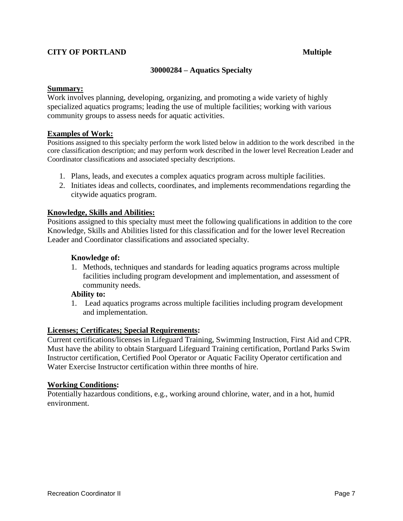### **30000284 – Aquatics Specialty**

### **Summary:**

Work involves planning, developing, organizing, and promoting a wide variety of highly specialized aquatics programs; leading the use of multiple facilities; working with various community groups to assess needs for aquatic activities.

### **Examples of Work:**

Positions assigned to this specialty perform the work listed below in addition to the work described in the core classification description; and may perform work described in the lower level Recreation Leader and Coordinator classifications and associated specialty descriptions.

- 1. Plans, leads, and executes a complex aquatics program across multiple facilities.
- 2. Initiates ideas and collects, coordinates, and implements recommendations regarding the citywide aquatics program.

### **Knowledge, Skills and Abilities:**

Positions assigned to this specialty must meet the following qualifications in addition to the core Knowledge, Skills and Abilities listed for this classification and for the lower level Recreation Leader and Coordinator classifications and associated specialty.

### **Knowledge of:**

1. Methods, techniques and standards for leading aquatics programs across multiple facilities including program development and implementation, and assessment of community needs.

### **Ability to:**

1. Lead aquatics programs across multiple facilities including program development and implementation.

### **Licenses; Certificates; Special Requirements:**

Current certifications/licenses in Lifeguard Training, Swimming Instruction, First Aid and CPR. Must have the ability to obtain Starguard Lifeguard Training certification, Portland Parks Swim Instructor certification, Certified Pool Operator or Aquatic Facility Operator certification and Water Exercise Instructor certification within three months of hire.

### **Working Conditions:**

Potentially hazardous conditions, e.g., working around chlorine, water, and in a hot, humid environment.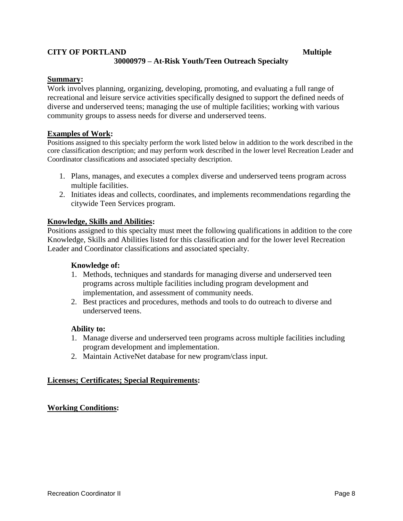### **CITY OF PORTLAND Multiple 30000979 – At-Risk Youth/Teen Outreach Specialty**

### **Summary:**

Work involves planning, organizing, developing, promoting, and evaluating a full range of recreational and leisure service activities specifically designed to support the defined needs of diverse and underserved teens; managing the use of multiple facilities; working with various community groups to assess needs for diverse and underserved teens.

### **Examples of Work:**

Positions assigned to this specialty perform the work listed below in addition to the work described in the core classification description; and may perform work described in the lower level Recreation Leader and Coordinator classifications and associated specialty description.

- 1. Plans, manages, and executes a complex diverse and underserved teens program across multiple facilities.
- 2. Initiates ideas and collects, coordinates, and implements recommendations regarding the citywide Teen Services program.

### **Knowledge, Skills and Abilities:**

Positions assigned to this specialty must meet the following qualifications in addition to the core Knowledge, Skills and Abilities listed for this classification and for the lower level Recreation Leader and Coordinator classifications and associated specialty.

### **Knowledge of:**

- 1. Methods, techniques and standards for managing diverse and underserved teen programs across multiple facilities including program development and implementation, and assessment of community needs.
- 2. Best practices and procedures, methods and tools to do outreach to diverse and underserved teens.

### **Ability to:**

- 1. Manage diverse and underserved teen programs across multiple facilities including program development and implementation.
- 2. Maintain ActiveNet database for new program/class input.

### **Licenses; Certificates; Special Requirements:**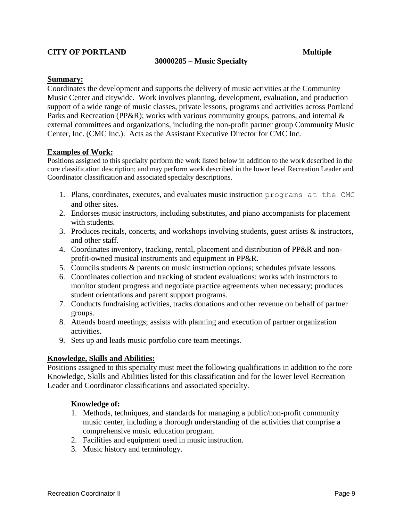### **30000285 – Music Specialty**

### **Summary:**

Coordinates the development and supports the delivery of music activities at the Community Music Center and citywide. Work involves planning, development, evaluation, and production support of a wide range of music classes, private lessons, programs and activities across Portland Parks and Recreation (PP&R); works with various community groups, patrons, and internal & external committees and organizations, including the non-profit partner group Community Music Center, Inc. (CMC Inc.). Acts as the Assistant Executive Director for CMC Inc.

### **Examples of Work:**

Positions assigned to this specialty perform the work listed below in addition to the work described in the core classification description; and may perform work described in the lower level Recreation Leader and Coordinator classification and associated specialty descriptions.

- 1. Plans, coordinates, executes, and evaluates music instruction programs at the CMC and other sites.
- 2. Endorses music instructors, including substitutes, and piano accompanists for placement with students.
- 3. Produces recitals, concerts, and workshops involving students, guest artists & instructors, and other staff.
- 4. Coordinates inventory, tracking, rental, placement and distribution of PP&R and nonprofit-owned musical instruments and equipment in PP&R.
- 5. Councils students & parents on music instruction options; schedules private lessons.
- 6. Coordinates collection and tracking of student evaluations; works with instructors to monitor student progress and negotiate practice agreements when necessary; produces student orientations and parent support programs.
- 7. Conducts fundraising activities, tracks donations and other revenue on behalf of partner groups.
- 8. Attends board meetings; assists with planning and execution of partner organization activities.
- 9. Sets up and leads music portfolio core team meetings.

### **Knowledge, Skills and Abilities:**

Positions assigned to this specialty must meet the following qualifications in addition to the core Knowledge, Skills and Abilities listed for this classification and for the lower level Recreation Leader and Coordinator classifications and associated specialty.

### **Knowledge of:**

- 1. Methods, techniques, and standards for managing a public/non-profit community music center, including a thorough understanding of the activities that comprise a comprehensive music education program.
- 2. Facilities and equipment used in music instruction.
- 3. Music history and terminology.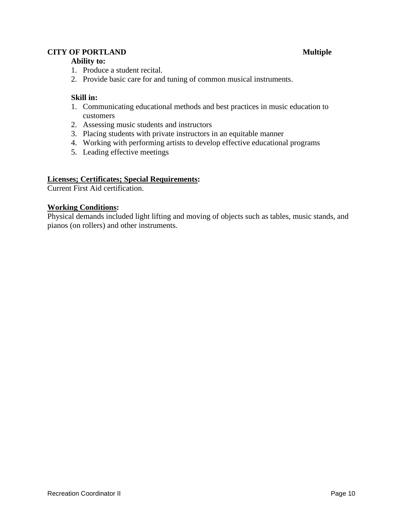### **Ability to:**

- 1. Produce a student recital.
- 2. Provide basic care for and tuning of common musical instruments.

### **Skill in:**

- 1. Communicating educational methods and best practices in music education to customers
- 2. Assessing music students and instructors
- 3. Placing students with private instructors in an equitable manner
- 4. Working with performing artists to develop effective educational programs
- 5. Leading effective meetings

### **Licenses; Certificates; Special Requirements:**

Current First Aid certification.

### **Working Conditions:**

Physical demands included light lifting and moving of objects such as tables, music stands, and pianos (on rollers) and other instruments.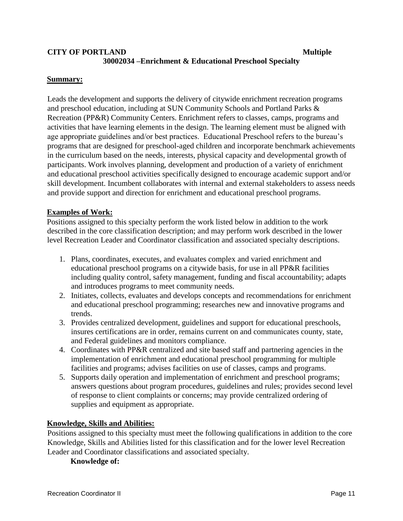### **CITY OF PORTLAND Multiple 30002034 –Enrichment & Educational Preschool Specialty**

### **Summary:**

Leads the development and supports the delivery of citywide enrichment recreation programs and preschool education, including at SUN Community Schools and Portland Parks & Recreation (PP&R) Community Centers. Enrichment refers to classes, camps, programs and activities that have learning elements in the design. The learning element must be aligned with age appropriate guidelines and/or best practices. Educational Preschool refers to the bureau's programs that are designed for preschool-aged children and incorporate benchmark achievements in the curriculum based on the needs, interests, physical capacity and developmental growth of participants. Work involves planning, development and production of a variety of enrichment and educational preschool activities specifically designed to encourage academic support and/or skill development. Incumbent collaborates with internal and external stakeholders to assess needs and provide support and direction for enrichment and educational preschool programs.

### **Examples of Work:**

Positions assigned to this specialty perform the work listed below in addition to the work described in the core classification description; and may perform work described in the lower level Recreation Leader and Coordinator classification and associated specialty descriptions.

- 1. Plans, coordinates, executes, and evaluates complex and varied enrichment and educational preschool programs on a citywide basis, for use in all PP&R facilities including quality control, safety management, funding and fiscal accountability; adapts and introduces programs to meet community needs.
- 2. Initiates, collects, evaluates and develops concepts and recommendations for enrichment and educational preschool programming; researches new and innovative programs and trends.
- 3. Provides centralized development, guidelines and support for educational preschools, insures certifications are in order, remains current on and communicates county, state, and Federal guidelines and monitors compliance.
- 4. Coordinates with PP&R centralized and site based staff and partnering agencies in the implementation of enrichment and educational preschool programming for multiple facilities and programs; advises facilities on use of classes, camps and programs.
- 5. Supports daily operation and implementation of enrichment and preschool programs; answers questions about program procedures, guidelines and rules; provides second level of response to client complaints or concerns; may provide centralized ordering of supplies and equipment as appropriate.

### **Knowledge, Skills and Abilities:**

Positions assigned to this specialty must meet the following qualifications in addition to the core Knowledge, Skills and Abilities listed for this classification and for the lower level Recreation Leader and Coordinator classifications and associated specialty.

### **Knowledge of:**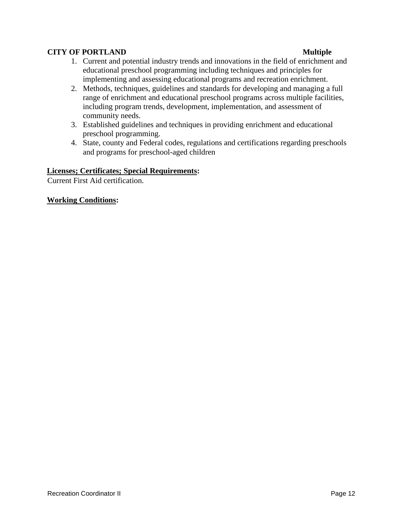- 1. Current and potential industry trends and innovations in the field of enrichment and educational preschool programming including techniques and principles for implementing and assessing educational programs and recreation enrichment.
- 2. Methods, techniques, guidelines and standards for developing and managing a full range of enrichment and educational preschool programs across multiple facilities, including program trends, development, implementation, and assessment of community needs.
- 3. Established guidelines and techniques in providing enrichment and educational preschool programming.
- 4. State, county and Federal codes, regulations and certifications regarding preschools and programs for preschool-aged children

### **Licenses; Certificates; Special Requirements:**

Current First Aid certification.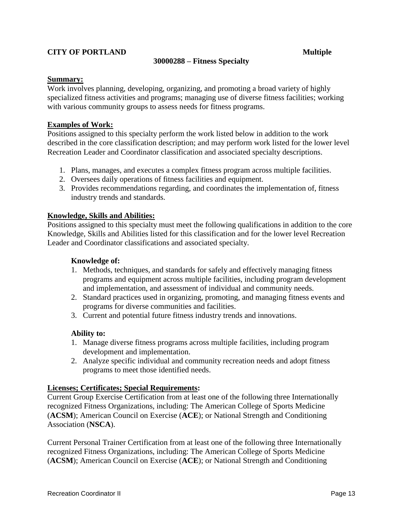### **30000288 – Fitness Specialty**

### **Summary:**

Work involves planning, developing, organizing, and promoting a broad variety of highly specialized fitness activities and programs; managing use of diverse fitness facilities; working with various community groups to assess needs for fitness programs.

### **Examples of Work:**

Positions assigned to this specialty perform the work listed below in addition to the work described in the core classification description; and may perform work listed for the lower level Recreation Leader and Coordinator classification and associated specialty descriptions.

- 1. Plans, manages, and executes a complex fitness program across multiple facilities.
- 2. Oversees daily operations of fitness facilities and equipment.
- 3. Provides recommendations regarding, and coordinates the implementation of, fitness industry trends and standards.

### **Knowledge, Skills and Abilities:**

Positions assigned to this specialty must meet the following qualifications in addition to the core Knowledge, Skills and Abilities listed for this classification and for the lower level Recreation Leader and Coordinator classifications and associated specialty.

### **Knowledge of:**

- 1. Methods, techniques, and standards for safely and effectively managing fitness programs and equipment across multiple facilities, including program development and implementation, and assessment of individual and community needs.
- 2. Standard practices used in organizing, promoting, and managing fitness events and programs for diverse communities and facilities.
- 3. Current and potential future fitness industry trends and innovations.

### **Ability to:**

- 1. Manage diverse fitness programs across multiple facilities, including program development and implementation.
- 2. Analyze specific individual and community recreation needs and adopt fitness programs to meet those identified needs.

### **Licenses; Certificates; Special Requirements:**

Current Group Exercise Certification from at least one of the following three Internationally recognized Fitness Organizations, including: The American College of Sports Medicine (**ACSM**); American Council on Exercise (**ACE**); or National Strength and Conditioning Association (**NSCA**).

Current Personal Trainer Certification from at least one of the following three Internationally recognized Fitness Organizations, including: The American College of Sports Medicine (**ACSM**); American Council on Exercise (**ACE**); or National Strength and Conditioning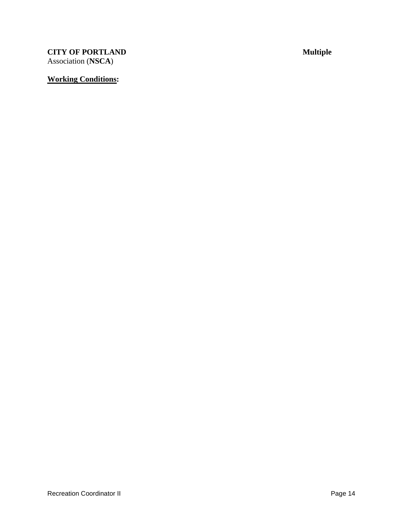**CITY OF PORTLAND Multiple** Association (**NSCA**)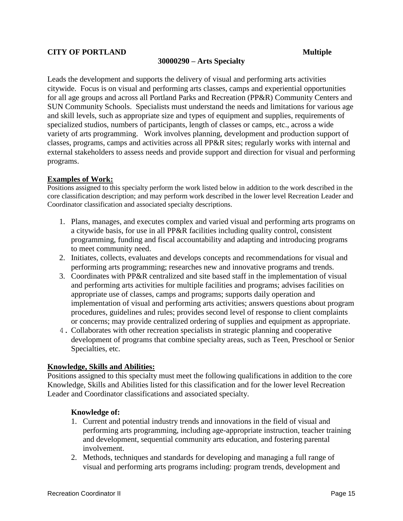### **30000290 – Arts Specialty**

Leads the development and supports the delivery of visual and performing arts activities citywide. Focus is on visual and performing arts classes, camps and experiential opportunities for all age groups and across all Portland Parks and Recreation (PP&R) Community Centers and SUN Community Schools. Specialists must understand the needs and limitations for various age and skill levels, such as appropriate size and types of equipment and supplies, requirements of specialized studios, numbers of participants, length of classes or camps, etc., across a wide variety of arts programming. Work involves planning, development and production support of classes, programs, camps and activities across all PP&R sites; regularly works with internal and external stakeholders to assess needs and provide support and direction for visual and performing programs.

### **Examples of Work:**

Positions assigned to this specialty perform the work listed below in addition to the work described in the core classification description; and may perform work described in the lower level Recreation Leader and Coordinator classification and associated specialty descriptions.

- 1. Plans, manages, and executes complex and varied visual and performing arts programs on a citywide basis, for use in all PP&R facilities including quality control, consistent programming, funding and fiscal accountability and adapting and introducing programs to meet community need.
- 2. Initiates, collects, evaluates and develops concepts and recommendations for visual and performing arts programming; researches new and innovative programs and trends.
- 3. Coordinates with PP&R centralized and site based staff in the implementation of visual and performing arts activities for multiple facilities and programs; advises facilities on appropriate use of classes, camps and programs; supports daily operation and implementation of visual and performing arts activities; answers questions about program procedures, guidelines and rules; provides second level of response to client complaints or concerns; may provide centralized ordering of supplies and equipment as appropriate.
- 4. Collaborates with other recreation specialists in strategic planning and cooperative development of programs that combine specialty areas, such as Teen, Preschool or Senior Specialties, etc.

### **Knowledge, Skills and Abilities:**

Positions assigned to this specialty must meet the following qualifications in addition to the core Knowledge, Skills and Abilities listed for this classification and for the lower level Recreation Leader and Coordinator classifications and associated specialty.

### **Knowledge of:**

- 1. Current and potential industry trends and innovations in the field of visual and performing arts programming, including age-appropriate instruction, teacher training and development, sequential community arts education, and fostering parental involvement.
- 2. Methods, techniques and standards for developing and managing a full range of visual and performing arts programs including: program trends, development and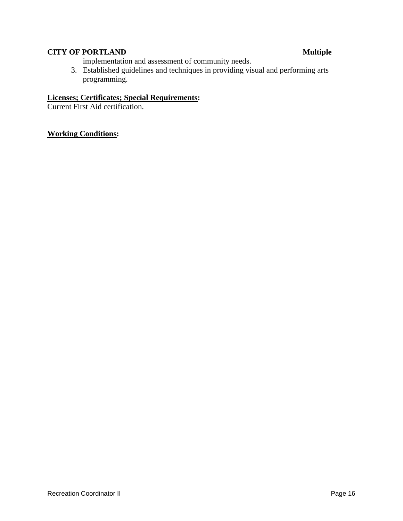implementation and assessment of community needs.

3. Established guidelines and techniques in providing visual and performing arts programming.

### **Licenses; Certificates; Special Requirements:**

Current First Aid certification.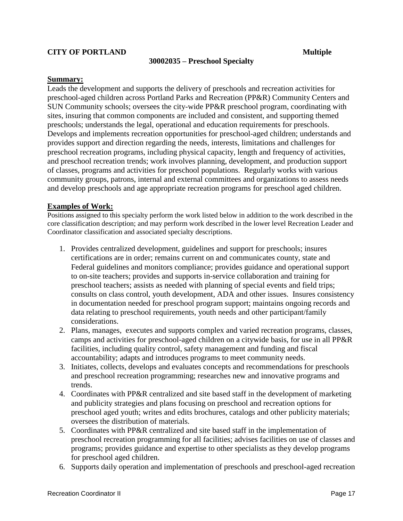### **30002035 – Preschool Specialty**

### **Summary:**

Leads the development and supports the delivery of preschools and recreation activities for preschool-aged children across Portland Parks and Recreation (PP&R) Community Centers and SUN Community schools; oversees the city-wide PP&R preschool program, coordinating with sites, insuring that common components are included and consistent, and supporting themed preschools; understands the legal, operational and education requirements for preschools. Develops and implements recreation opportunities for preschool-aged children; understands and provides support and direction regarding the needs, interests, limitations and challenges for preschool recreation programs, including physical capacity, length and frequency of activities, and preschool recreation trends; work involves planning, development, and production support of classes, programs and activities for preschool populations. Regularly works with various community groups, patrons, internal and external committees and organizations to assess needs and develop preschools and age appropriate recreation programs for preschool aged children.

### **Examples of Work:**

Positions assigned to this specialty perform the work listed below in addition to the work described in the core classification description; and may perform work described in the lower level Recreation Leader and Coordinator classification and associated specialty descriptions.

- 1. Provides centralized development, guidelines and support for preschools; insures certifications are in order; remains current on and communicates county, state and Federal guidelines and monitors compliance; provides guidance and operational support to on-site teachers; provides and supports in-service collaboration and training for preschool teachers; assists as needed with planning of special events and field trips; consults on class control, youth development, ADA and other issues. Insures consistency in documentation needed for preschool program support; maintains ongoing records and data relating to preschool requirements, youth needs and other participant/family considerations.
- 2. Plans, manages, executes and supports complex and varied recreation programs, classes, camps and activities for preschool-aged children on a citywide basis, for use in all PP&R facilities, including quality control, safety management and funding and fiscal accountability; adapts and introduces programs to meet community needs.
- 3. Initiates, collects, develops and evaluates concepts and recommendations for preschools and preschool recreation programming; researches new and innovative programs and trends.
- 4. Coordinates with PP&R centralized and site based staff in the development of marketing and publicity strategies and plans focusing on preschool and recreation options for preschool aged youth; writes and edits brochures, catalogs and other publicity materials; oversees the distribution of materials.
- 5. Coordinates with PP&R centralized and site based staff in the implementation of preschool recreation programming for all facilities; advises facilities on use of classes and programs; provides guidance and expertise to other specialists as they develop programs for preschool aged children.
- 6. Supports daily operation and implementation of preschools and preschool-aged recreation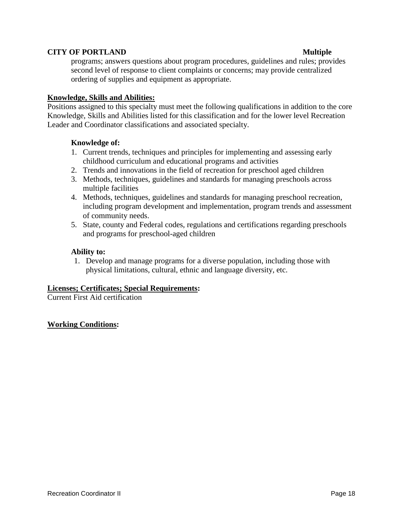programs; answers questions about program procedures, guidelines and rules; provides second level of response to client complaints or concerns; may provide centralized ordering of supplies and equipment as appropriate.

### **Knowledge, Skills and Abilities:**

Positions assigned to this specialty must meet the following qualifications in addition to the core Knowledge, Skills and Abilities listed for this classification and for the lower level Recreation Leader and Coordinator classifications and associated specialty.

### **Knowledge of:**

- 1. Current trends, techniques and principles for implementing and assessing early childhood curriculum and educational programs and activities
- 2. Trends and innovations in the field of recreation for preschool aged children
- 3. Methods, techniques, guidelines and standards for managing preschools across multiple facilities
- 4. Methods, techniques, guidelines and standards for managing preschool recreation, including program development and implementation, program trends and assessment of community needs.
- 5. State, county and Federal codes, regulations and certifications regarding preschools and programs for preschool-aged children

### **Ability to:**

1. Develop and manage programs for a diverse population, including those with physical limitations, cultural, ethnic and language diversity, etc.

### **Licenses; Certificates; Special Requirements:**

Current First Aid certification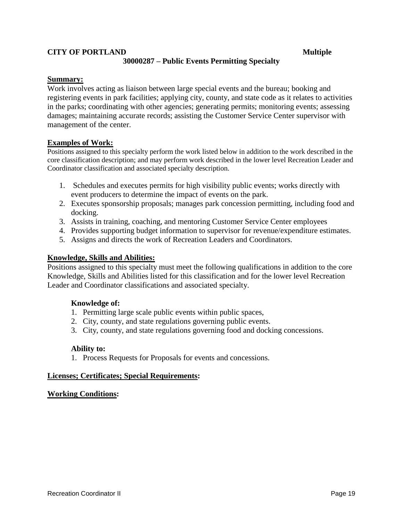### **CITY OF PORTLAND Multiple 30000287 – Public Events Permitting Specialty**

### **Summary:**

Work involves acting as liaison between large special events and the bureau; booking and registering events in park facilities; applying city, county, and state code as it relates to activities in the parks; coordinating with other agencies; generating permits; monitoring events; assessing damages; maintaining accurate records; assisting the Customer Service Center supervisor with management of the center.

### **Examples of Work:**

Positions assigned to this specialty perform the work listed below in addition to the work described in the core classification description; and may perform work described in the lower level Recreation Leader and Coordinator classification and associated specialty description.

- 1. Schedules and executes permits for high visibility public events; works directly with event producers to determine the impact of events on the park.
- 2. Executes sponsorship proposals; manages park concession permitting, including food and docking.
- 3. Assists in training, coaching, and mentoring Customer Service Center employees
- 4. Provides supporting budget information to supervisor for revenue/expenditure estimates.
- 5. Assigns and directs the work of Recreation Leaders and Coordinators.

### **Knowledge, Skills and Abilities:**

Positions assigned to this specialty must meet the following qualifications in addition to the core Knowledge, Skills and Abilities listed for this classification and for the lower level Recreation Leader and Coordinator classifications and associated specialty.

### **Knowledge of:**

- 1. Permitting large scale public events within public spaces,
- 2. City, county, and state regulations governing public events.
- 3. City, county, and state regulations governing food and docking concessions.

### **Ability to:**

1. Process Requests for Proposals for events and concessions.

### **Licenses; Certificates; Special Requirements:**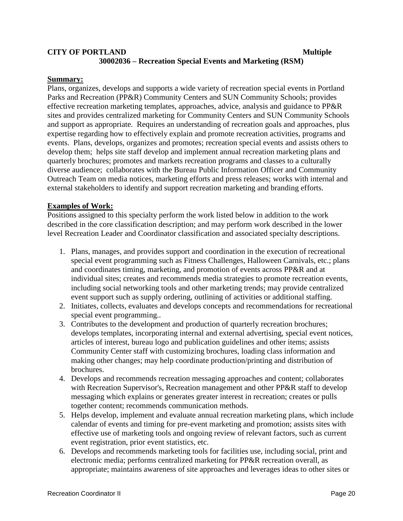### **CITY OF PORTLAND Multiple 30002036 – Recreation Special Events and Marketing (RSM)**

### **Summary:**

Plans, organizes, develops and supports a wide variety of recreation special events in Portland Parks and Recreation (PP&R) Community Centers and SUN Community Schools; provides effective recreation marketing templates, approaches, advice, analysis and guidance to PP&R sites and provides centralized marketing for Community Centers and SUN Community Schools and support as appropriate. Requires an understanding of recreation goals and approaches, plus expertise regarding how to effectively explain and promote recreation activities, programs and events. Plans, develops, organizes and promotes; recreation special events and assists others to develop them; helps site staff develop and implement annual recreation marketing plans and quarterly brochures; promotes and markets recreation programs and classes to a culturally diverse audience; collaborates with the Bureau Public Information Officer and Community Outreach Team on media notices, marketing efforts and press releases; works with internal and external stakeholders to identify and support recreation marketing and branding efforts.

### **Examples of Work:**

Positions assigned to this specialty perform the work listed below in addition to the work described in the core classification description; and may perform work described in the lower level Recreation Leader and Coordinator classification and associated specialty descriptions.

- 1. Plans, manages, and provides support and coordination in the execution of recreational special event programming such as Fitness Challenges, Halloween Carnivals, etc.; plans and coordinates timing, marketing, and promotion of events across PP&R and at individual sites; creates and recommends media strategies to promote recreation events, including social networking tools and other marketing trends; may provide centralized event support such as supply ordering, outlining of activities or additional staffing.
- 2. Initiates, collects, evaluates and develops concepts and recommendations for recreational special event programming..
- 3. Contributes to the development and production of quarterly recreation brochures; develops templates, incorporating internal and external advertising, special event notices, articles of interest, bureau logo and publication guidelines and other items; assists Community Center staff with customizing brochures, loading class information and making other changes; may help coordinate production/printing and distribution of brochures.
- 4. Develops and recommends recreation messaging approaches and content; collaborates with Recreation Supervisor's, Recreation management and other PP&R staff to develop messaging which explains or generates greater interest in recreation; creates or pulls together content; recommends communication methods.
- 5. Helps develop, implement and evaluate annual recreation marketing plans, which include calendar of events and timing for pre-event marketing and promotion; assists sites with effective use of marketing tools and ongoing review of relevant factors, such as current event registration, prior event statistics, etc.
- 6. Develops and recommends marketing tools for facilities use, including social, print and electronic media; performs centralized marketing for PP&R recreation overall, as appropriate; maintains awareness of site approaches and leverages ideas to other sites or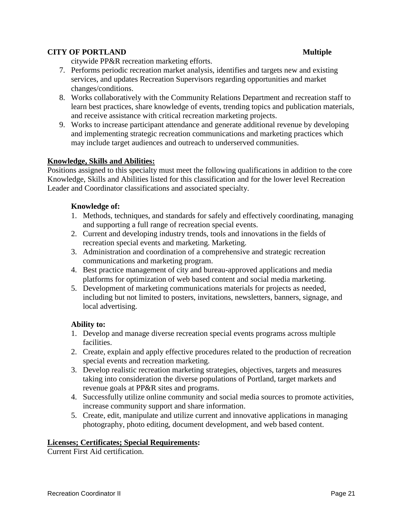citywide PP&R recreation marketing efforts.

- 7. Performs periodic recreation market analysis, identifies and targets new and existing services, and updates Recreation Supervisors regarding opportunities and market changes/conditions.
- 8. Works collaboratively with the Community Relations Department and recreation staff to learn best practices, share knowledge of events, trending topics and publication materials, and receive assistance with critical recreation marketing projects.
- 9. Works to increase participant attendance and generate additional revenue by developing and implementing strategic recreation communications and marketing practices which may include target audiences and outreach to underserved communities.

### **Knowledge, Skills and Abilities:**

Positions assigned to this specialty must meet the following qualifications in addition to the core Knowledge, Skills and Abilities listed for this classification and for the lower level Recreation Leader and Coordinator classifications and associated specialty.

### **Knowledge of:**

- 1. Methods, techniques, and standards for safely and effectively coordinating, managing and supporting a full range of recreation special events.
- 2. Current and developing industry trends, tools and innovations in the fields of recreation special events and marketing. Marketing.
- 3. Administration and coordination of a comprehensive and strategic recreation communications and marketing program.
- 4. Best practice management of city and bureau-approved applications and media platforms for optimization of web based content and social media marketing.
- 5. Development of marketing communications materials for projects as needed, including but not limited to posters, invitations, newsletters, banners, signage, and local advertising.

### **Ability to:**

- 1. Develop and manage diverse recreation special events programs across multiple facilities.
- 2. Create, explain and apply effective procedures related to the production of recreation special events and recreation marketing.
- 3. Develop realistic recreation marketing strategies, objectives, targets and measures taking into consideration the diverse populations of Portland, target markets and revenue goals at PP&R sites and programs.
- 4. Successfully utilize online community and social media sources to promote activities, increase community support and share information.
- 5. Create, edit, manipulate and utilize current and innovative applications in managing photography, photo editing, document development, and web based content.

### **Licenses; Certificates; Special Requirements:**

Current First Aid certification.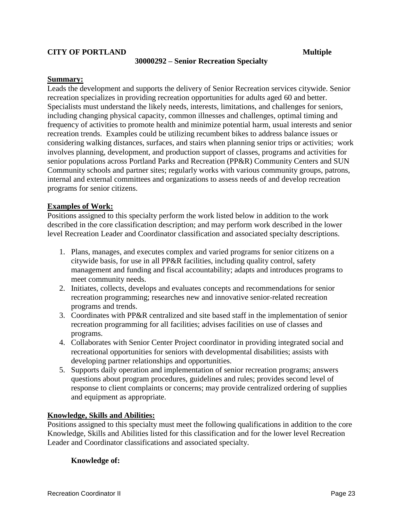### **30000292 – Senior Recreation Specialty**

### **Summary:**

Leads the development and supports the delivery of Senior Recreation services citywide. Senior recreation specializes in providing recreation opportunities for adults aged 60 and better. Specialists must understand the likely needs, interests, limitations, and challenges for seniors, including changing physical capacity, common illnesses and challenges, optimal timing and frequency of activities to promote health and minimize potential harm, usual interests and senior recreation trends. Examples could be utilizing recumbent bikes to address balance issues or considering walking distances, surfaces, and stairs when planning senior trips or activities; work involves planning, development, and production support of classes, programs and activities for senior populations across Portland Parks and Recreation (PP&R) Community Centers and SUN Community schools and partner sites; regularly works with various community groups, patrons, internal and external committees and organizations to assess needs of and develop recreation programs for senior citizens.

### **Examples of Work:**

Positions assigned to this specialty perform the work listed below in addition to the work described in the core classification description; and may perform work described in the lower level Recreation Leader and Coordinator classification and associated specialty descriptions.

- 1. Plans, manages, and executes complex and varied programs for senior citizens on a citywide basis, for use in all PP&R facilities, including quality control, safety management and funding and fiscal accountability; adapts and introduces programs to meet community needs.
- 2. Initiates, collects, develops and evaluates concepts and recommendations for senior recreation programming; researches new and innovative senior-related recreation programs and trends.
- 3. Coordinates with PP&R centralized and site based staff in the implementation of senior recreation programming for all facilities; advises facilities on use of classes and programs.
- 4. Collaborates with Senior Center Project coordinator in providing integrated social and recreational opportunities for seniors with developmental disabilities; assists with developing partner relationships and opportunities.
- 5. Supports daily operation and implementation of senior recreation programs; answers questions about program procedures, guidelines and rules; provides second level of response to client complaints or concerns; may provide centralized ordering of supplies and equipment as appropriate.

### **Knowledge, Skills and Abilities:**

Positions assigned to this specialty must meet the following qualifications in addition to the core Knowledge, Skills and Abilities listed for this classification and for the lower level Recreation Leader and Coordinator classifications and associated specialty.

### **Knowledge of:**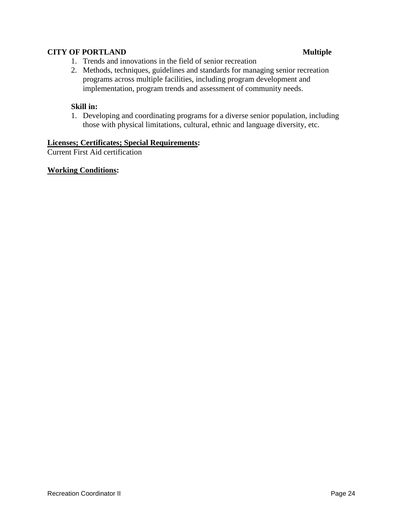- 1. Trends and innovations in the field of senior recreation
- 2. Methods, techniques, guidelines and standards for managing senior recreation programs across multiple facilities, including program development and implementation, program trends and assessment of community needs.

### **Skill in:**

1. Developing and coordinating programs for a diverse senior population, including those with physical limitations, cultural, ethnic and language diversity, etc.

### **Licenses; Certificates; Special Requirements:**

Current First Aid certification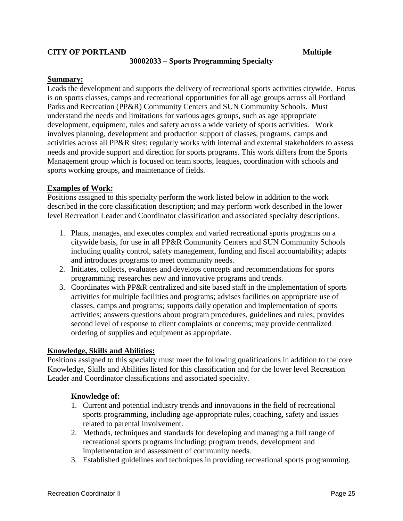### **30002033 – Sports Programming Specialty**

### **Summary:**

Leads the development and supports the delivery of recreational sports activities citywide. Focus is on sports classes, camps and recreational opportunities for all age groups across all Portland Parks and Recreation (PP&R) Community Centers and SUN Community Schools. Must understand the needs and limitations for various ages groups, such as age appropriate development, equipment, rules and safety across a wide variety of sports activities. Work involves planning, development and production support of classes, programs, camps and activities across all PP&R sites; regularly works with internal and external stakeholders to assess needs and provide support and direction for sports programs. This work differs from the Sports Management group which is focused on team sports, leagues, coordination with schools and sports working groups, and maintenance of fields.

### **Examples of Work:**

Positions assigned to this specialty perform the work listed below in addition to the work described in the core classification description; and may perform work described in the lower level Recreation Leader and Coordinator classification and associated specialty descriptions.

- 1. Plans, manages, and executes complex and varied recreational sports programs on a citywide basis, for use in all PP&R Community Centers and SUN Community Schools including quality control, safety management, funding and fiscal accountability; adapts and introduces programs to meet community needs.
- 2. Initiates, collects, evaluates and develops concepts and recommendations for sports programming; researches new and innovative programs and trends.
- 3. Coordinates with PP&R centralized and site based staff in the implementation of sports activities for multiple facilities and programs; advises facilities on appropriate use of classes, camps and programs; supports daily operation and implementation of sports activities; answers questions about program procedures, guidelines and rules; provides second level of response to client complaints or concerns; may provide centralized ordering of supplies and equipment as appropriate.

### **Knowledge, Skills and Abilities:**

Positions assigned to this specialty must meet the following qualifications in addition to the core Knowledge, Skills and Abilities listed for this classification and for the lower level Recreation Leader and Coordinator classifications and associated specialty.

### **Knowledge of:**

- 1. Current and potential industry trends and innovations in the field of recreational sports programming, including age-appropriate rules, coaching, safety and issues related to parental involvement.
- 2. Methods, techniques and standards for developing and managing a full range of recreational sports programs including: program trends, development and implementation and assessment of community needs.
- 3. Established guidelines and techniques in providing recreational sports programming.